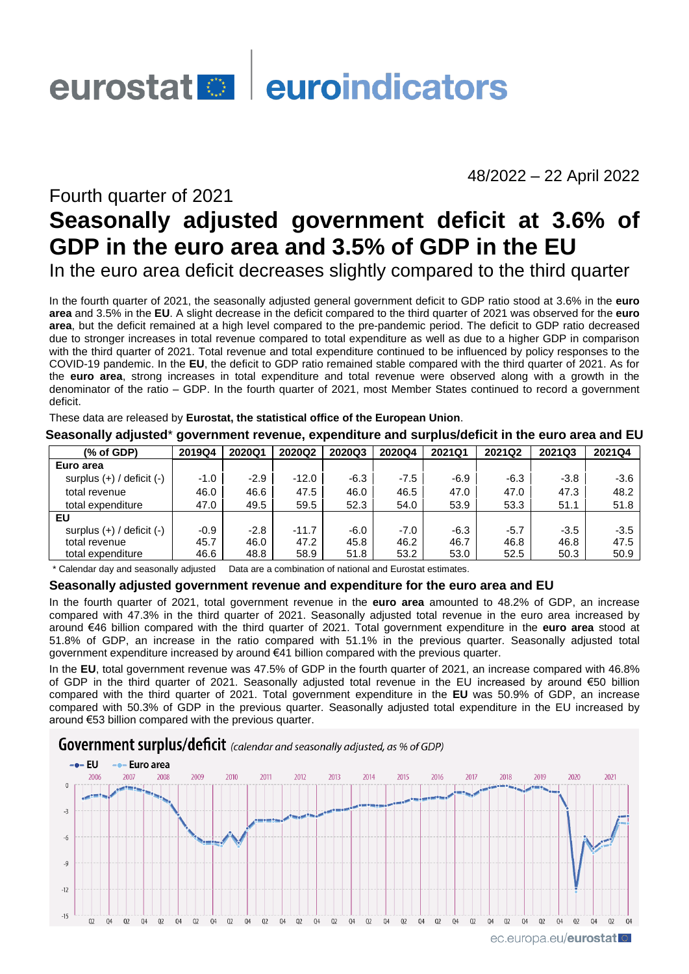# eurostat **en la euroindicators**

48/2022 – 22 April 2022

# Fourth quarter of 2021 **Seasonally adjusted government deficit at 3.6% of GDP in the euro area and 3.5% of GDP in the EU**

In the euro area deficit decreases slightly compared to the third quarter

In the fourth quarter of 2021, the seasonally adjusted general government deficit to GDP ratio stood at 3.6% in the **euro area** and 3.5% in the **EU**. A slight decrease in the deficit compared to the third quarter of 2021 was observed for the **euro area**, but the deficit remained at a high level compared to the pre-pandemic period. The deficit to GDP ratio decreased due to stronger increases in total revenue compared to total expenditure as well as due to a higher GDP in comparison with the third quarter of 2021. Total revenue and total expenditure continued to be influenced by policy responses to the COVID-19 pandemic. In the **EU**, the deficit to GDP ratio remained stable compared with the third quarter of 2021. As for the **euro area**, strong increases in total expenditure and total revenue were observed along with a growth in the denominator of the ratio – GDP. In the fourth quarter of 2021, most Member States continued to record a government deficit.

These data are released by **Eurostat, the statistical office of the European Union**.

|                                                                            | -      |        |         |        |        |        |        |        |        |
|----------------------------------------------------------------------------|--------|--------|---------|--------|--------|--------|--------|--------|--------|
| $(% \mathcal{L}^{\prime}\mathcal{L}^{\prime}\mathcal{L}^{\prime})$ of GDP) | 2019Q4 | 2020Q1 | 2020Q2  | 2020Q3 | 2020Q4 | 2021Q1 | 2021Q2 | 2021Q3 | 2021Q4 |
| Euro area                                                                  |        |        |         |        |        |        |        |        |        |
| surplus $(+)$ / deficit $(-)$                                              | $-1.0$ | $-2.9$ | $-12.0$ | $-6.3$ | $-7.5$ | -6.9   | $-6.3$ | -3.8   | $-3.6$ |
| total revenue                                                              | 46.0   | 46.6   | 47.5    | 46.0   | 46.5   | 47.0   | 47.0   | 47.3   | 48.2   |
| total expenditure                                                          | 47.0   | 49.5   | 59.5    | 52.3   | 54.0   | 53.9   | 53.3   | 51.1   | 51.8   |
| EU                                                                         |        |        |         |        |        |        |        |        |        |
| surplus $(+)$ / deficit $(-)$                                              | $-0.9$ | $-2.8$ | $-11.7$ | $-6.0$ | $-7.0$ | $-6.3$ | $-5.7$ | $-3.5$ | $-3.5$ |
| total revenue                                                              | 45.7   | 46.0   | 47.2    | 45.8   | 46.2   | 46.7   | 46.8   | 46.8   | 47.5   |
| total expenditure                                                          | 46.6   | 48.8   | 58.9    | 51.8   | 53.2   | 53.0   | 52.5   | 50.3   | 50.9   |

**Seasonally adjusted**\* **government revenue, expenditure and surplus/deficit in the euro area and EU**

\* Calendar day and seasonally adjusted Data are a combination of national and Eurostat estimates.

### **Seasonally adjusted government revenue and expenditure for the euro area and EU**

In the fourth quarter of 2021, total government revenue in the **euro area** amounted to 48.2% of GDP, an increase compared with 47.3% in the third quarter of 2021. Seasonally adjusted total revenue in the euro area increased by around €46 billion compared with the third quarter of 2021. Total government expenditure in the **euro area** stood at 51.8% of GDP, an increase in the ratio compared with 51.1% in the previous quarter. Seasonally adjusted total government expenditure increased by around €41 billion compared with the previous quarter.

In the **EU**, total government revenue was 47.5% of GDP in the fourth quarter of 2021, an increase compared with 46.8% of GDP in the third quarter of 2021. Seasonally adjusted total revenue in the EU increased by around €50 billion compared with the third quarter of 2021. Total government expenditure in the **EU** was 50.9% of GDP, an increase compared with 50.3% of GDP in the previous quarter. Seasonally adjusted total expenditure in the EU increased by around €53 billion compared with the previous quarter.

**Government surplus/deficit** (calendar and seasonally adjusted, as % of GDP)

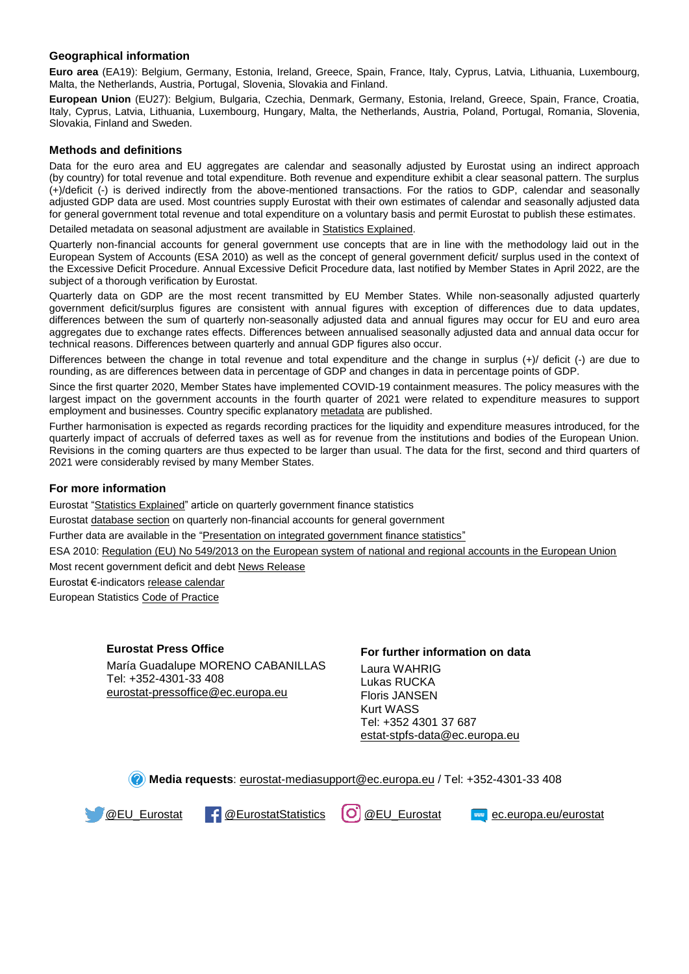#### **Geographical information**

**Euro area** (EA19): Belgium, Germany, Estonia, Ireland, Greece, Spain, France, Italy, Cyprus, Latvia, Lithuania, Luxembourg, Malta, the Netherlands, Austria, Portugal, Slovenia, Slovakia and Finland.

**European Union** (EU27): Belgium, Bulgaria, Czechia, Denmark, Germany, Estonia, Ireland, Greece, Spain, France, Croatia, Italy, Cyprus, Latvia, Lithuania, Luxembourg, Hungary, Malta, the Netherlands, Austria, Poland, Portugal, Romania, Slovenia, Slovakia, Finland and Sweden.

#### **Methods and definitions**

Data for the euro area and EU aggregates are calendar and seasonally adjusted by Eurostat using an indirect approach (by country) for total revenue and total expenditure. Both revenue and expenditure exhibit a clear seasonal pattern. The surplus (+)/deficit (-) is derived indirectly from the above-mentioned transactions. For the ratios to GDP, calendar and seasonally adjusted GDP data are used. Most countries supply Eurostat with their own estimates of calendar and seasonally adjusted data for general government total revenue and total expenditure on a voluntary basis and permit Eurostat to publish these estimates.

Detailed metadata on seasonal adjustment are available i[n Statistics Explained.](http://ec.europa.eu/eurostat/statistics-explained/index.php/Government_finance_statistics_-_quarterly_data)

Quarterly non-financial accounts for general government use concepts that are in line with the methodology laid out in the European System of Accounts (ESA 2010) as well as the concept of general government deficit/ surplus used in the context of the Excessive Deficit Procedure. Annual Excessive Deficit Procedure data, last notified by Member States in April 2022, are the subject of a thorough verification by Eurostat.

Quarterly data on GDP are the most recent transmitted by EU Member States. While non-seasonally adjusted quarterly government deficit/surplus figures are consistent with annual figures with exception of differences due to data updates, differences between the sum of quarterly non-seasonally adjusted data and annual figures may occur for EU and euro area aggregates due to exchange rates effects. Differences between annualised seasonally adjusted data and annual data occur for technical reasons. Differences between quarterly and annual GDP figures also occur.

Differences between the change in total revenue and total expenditure and the change in surplus (+)/ deficit (-) are due to rounding, as are differences between data in percentage of GDP and changes in data in percentage points of GDP.

Since the first quarter 2020, Member States have implemented COVID-19 containment measures. The policy measures with the largest impact on the government accounts in the fourth quarter of 2021 were related to expenditure measures to support employment and businesses. Country specific explanatory [metadata](https://ec.europa.eu/eurostat/cache/metadata/en/gov_10q_ggnfa_esms.htm) are published.

Further harmonisation is expected as regards recording practices for the liquidity and expenditure measures introduced, for the quarterly impact of accruals of deferred taxes as well as for revenue from the institutions and bodies of the European Union. Revisions in the coming quarters are thus expected to be larger than usual. The data for the first, second and third quarters of 2021 were considerably revised by many Member States.

#### **For more information**

Eurostat ["Statistics Explained"](https://ec.europa.eu/eurostat/statistics-explained/index.php/Government_finance_statistics_-_quarterly_data) article on quarterly government finance statistics

Eurosta[t database section](https://ec.europa.eu/eurostat/web/government-finance-statistics/data/database) on quarterly non-financial accounts for general government

Further data are available in the ["Presentation on integrated government finance statistics"](https://ec.europa.eu/eurostat/statistics-explained/index.php/Integrated_government_finance_statistics_presentation)

ESA 2010: [Regulation \(EU\) No 549/2013 on the European system of national and regional accounts in the European Union](https://eur-lex.europa.eu/legal-content/EN/TXT/?qid=1405675686774&uri=CELEX:32013R0549) Most recent government deficit and debt [News Release](https://ec.europa.eu/eurostat/web/government-finance-statistics/publications)

Eurostat €-indicator[s release calendar](https://ec.europa.eu/eurostat/news/release-calendar)

European Statistic[s Code of Practice](https://ec.europa.eu/eurostat/web/products-catalogues/-/KS-02-18-142)

#### **Eurostat Press Office**

María Guadalupe MORENO CABANILLAS Tel: +352-4301-33 408 [eurostat-pressoffice@ec.europa.eu](mailto:eurostat-pressoffice@ec.europa.eu)

## **For further information on data**

Laura WAHRIG Lukas RUCKA Floris JANSEN Kurt WASS Tel: +352 4301 37 687 [estat-stpfs-data@ec.europa.eu](mailto:estat-stpfs-data@ec.europa.eu)

**Media requests**: [eurostat-mediasupport@ec.europa.eu](mailto:eurostat-mediasupport@ec.europa.eu) / Tel: +352-4301-33 408

[@EU\\_Eurostat](https://twitter.com/EU_Eurostat) | CEurostatStatistics (O) [@EU\\_Eurostat](https://www.instagram.com/eu_eurostat/) Form[ec.europa.eu/eurostat](https://ec.europa.eu/eurostat)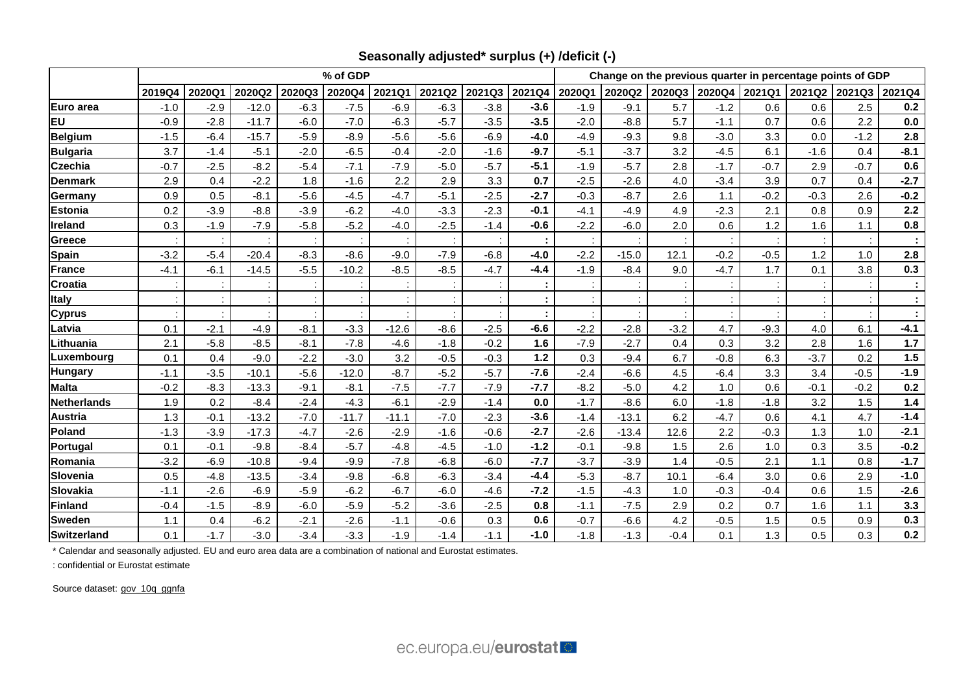|                    | % of GDP |        |         |        |         |         |        |        |        | Change on the previous quarter in percentage points of GDP |         |        |               |        |        |                      |         |  |
|--------------------|----------|--------|---------|--------|---------|---------|--------|--------|--------|------------------------------------------------------------|---------|--------|---------------|--------|--------|----------------------|---------|--|
|                    | 2019Q4   | 2020Q1 | 2020Q2  | 2020Q3 | 2020Q4  | 2021Q1  | 2021Q2 | 2021Q3 | 2021Q4 | 2020Q1                                                     | 2020Q2  | 2020Q3 | 2020Q4 2021Q1 |        |        | 2021Q2 2021Q3 2021Q4 |         |  |
| Euro area          | $-1.0$   | $-2.9$ | $-12.0$ | $-6.3$ | $-7.5$  | $-6.9$  | $-6.3$ | $-3.8$ | $-3.6$ | $-1.9$                                                     | $-9.1$  | 5.7    | $-1.2$        | 0.6    | 0.6    | 2.5                  | 0.2     |  |
| EU                 | $-0.9$   | $-2.8$ | $-11.7$ | $-6.0$ | $-7.0$  | $-6.3$  | $-5.7$ | $-3.5$ | $-3.5$ | $-2.0$                                                     | $-8.8$  | 5.7    | $-1.1$        | 0.7    | 0.6    | 2.2                  | $0.0\,$ |  |
| <b>Belgium</b>     | $-1.5$   | $-6.4$ | $-15.7$ | $-5.9$ | $-8.9$  | $-5.6$  | $-5.6$ | $-6.9$ | $-4.0$ | $-4.9$                                                     | $-9.3$  | 9.8    | $-3.0$        | 3.3    | 0.0    | $-1.2$               | 2.8     |  |
| <b>Bulgaria</b>    | 3.7      | $-1.4$ | $-5.1$  | $-2.0$ | $-6.5$  | $-0.4$  | $-2.0$ | $-1.6$ | $-9.7$ | $-5.1$                                                     | $-3.7$  | 3.2    | $-4.5$        | 6.1    | $-1.6$ | 0.4                  | $-8.1$  |  |
| <b>Czechia</b>     | $-0.7$   | $-2.5$ | $-8.2$  | $-5.4$ | $-7.1$  | $-7.9$  | $-5.0$ | $-5.7$ | $-5.1$ | $-1.9$                                                     | $-5.7$  | 2.8    | $-1.7$        | $-0.7$ | 2.9    | $-0.7$               | 0.6     |  |
| <b>Denmark</b>     | 2.9      | 0.4    | $-2.2$  | 1.8    | $-1.6$  | 2.2     | 2.9    | 3.3    | 0.7    | $-2.5$                                                     | $-2.6$  | 4.0    | $-3.4$        | 3.9    | 0.7    | 0.4                  | $-2.7$  |  |
| Germany            | 0.9      | 0.5    | $-8.1$  | $-5.6$ | $-4.5$  | $-4.7$  | $-5.1$ | $-2.5$ | $-2.7$ | $-0.3$                                                     | $-8.7$  | 2.6    | 1.1           | $-0.2$ | $-0.3$ | 2.6                  | $-0.2$  |  |
| Estonia            | 0.2      | $-3.9$ | $-8.8$  | $-3.9$ | $-6.2$  | $-4.0$  | $-3.3$ | $-2.3$ | $-0.1$ | $-4.1$                                                     | $-4.9$  | 4.9    | $-2.3$        | 2.1    | 0.8    | 0.9                  | 2.2     |  |
| Ireland            | 0.3      | $-1.9$ | $-7.9$  | $-5.8$ | $-5.2$  | $-4.0$  | $-2.5$ | $-1.4$ | $-0.6$ | $-2.2$                                                     | $-6.0$  | 2.0    | 0.6           | 1.2    | 1.6    | 1.1                  | 0.8     |  |
| Greece             |          |        |         |        |         |         |        |        |        |                                                            |         |        |               |        |        |                      |         |  |
| <b>Spain</b>       | $-3.2$   | $-5.4$ | $-20.4$ | $-8.3$ | $-8.6$  | $-9.0$  | $-7.9$ | $-6.8$ | $-4.0$ | $-2.2$                                                     | $-15.0$ | 12.1   | $-0.2$        | $-0.5$ | 1.2    | 1.0                  | 2.8     |  |
| France             | $-4.1$   | $-6.1$ | $-14.5$ | $-5.5$ | $-10.2$ | $-8.5$  | $-8.5$ | $-4.7$ | $-4.4$ | $-1.9$                                                     | $-8.4$  | 9.0    | $-4.7$        | 1.7    | 0.1    | 3.8                  | 0.3     |  |
| <b>Croatia</b>     |          |        |         |        |         |         |        | ÷      | t      |                                                            |         |        |               |        |        |                      | ÷       |  |
| <b>Italy</b>       |          |        |         |        |         |         |        |        |        |                                                            |         |        |               |        |        |                      | ÷       |  |
| <b>Cyprus</b>      |          |        |         |        |         |         |        |        |        |                                                            |         |        |               |        |        |                      | ÷       |  |
| Latvia             | 0.1      | $-2.1$ | $-4.9$  | $-8.1$ | $-3.3$  | $-12.6$ | $-8.6$ | $-2.5$ | $-6.6$ | $-2.2$                                                     | $-2.8$  | $-3.2$ | 4.7           | $-9.3$ | 4.0    | 6.1                  | $-4.1$  |  |
| Lithuania          | 2.1      | $-5.8$ | $-8.5$  | $-8.1$ | $-7.8$  | $-4.6$  | $-1.8$ | $-0.2$ | 1.6    | $-7.9$                                                     | $-2.7$  | 0.4    | 0.3           | 3.2    | 2.8    | 1.6                  | $1.7$   |  |
| Luxembourg         | 0.1      | 0.4    | $-9.0$  | $-2.2$ | $-3.0$  | 3.2     | $-0.5$ | $-0.3$ | 1.2    | 0.3                                                        | $-9.4$  | 6.7    | $-0.8$        | 6.3    | $-3.7$ | 0.2                  | 1.5     |  |
| <b>Hungary</b>     | $-1.1$   | $-3.5$ | $-10.1$ | $-5.6$ | $-12.0$ | $-8.7$  | $-5.2$ | $-5.7$ | $-7.6$ | $-2.4$                                                     | $-6.6$  | 4.5    | $-6.4$        | 3.3    | 3.4    | $-0.5$               | $-1.9$  |  |
| <b>Malta</b>       | $-0.2$   | $-8.3$ | $-13.3$ | $-9.1$ | $-8.1$  | $-7.5$  | $-7.7$ | $-7.9$ | $-7.7$ | $-8.2$                                                     | $-5.0$  | 4.2    | 1.0           | 0.6    | $-0.1$ | $-0.2$               | 0.2     |  |
| <b>Netherlands</b> | 1.9      | 0.2    | $-8.4$  | $-2.4$ | $-4.3$  | $-6.1$  | $-2.9$ | $-1.4$ | 0.0    | $-1.7$                                                     | $-8.6$  | 6.0    | $-1.8$        | $-1.8$ | 3.2    | 1.5                  | $1.4$   |  |
| <b>Austria</b>     | 1.3      | $-0.1$ | $-13.2$ | $-7.0$ | $-11.7$ | $-11.1$ | $-7.0$ | $-2.3$ | $-3.6$ | $-1.4$                                                     | $-13.1$ | 6.2    | $-4.7$        | 0.6    | 4.1    | 4.7                  | $-1.4$  |  |
| Poland             | $-1.3$   | $-3.9$ | $-17.3$ | $-4.7$ | $-2.6$  | $-2.9$  | $-1.6$ | $-0.6$ | $-2.7$ | $-2.6$                                                     | $-13.4$ | 12.6   | 2.2           | $-0.3$ | 1.3    | 1.0                  | $-2.1$  |  |
| Portugal           | 0.1      | $-0.1$ | $-9.8$  | $-8.4$ | $-5.7$  | $-4.8$  | $-4.5$ | $-1.0$ | $-1.2$ | $-0.1$                                                     | $-9.8$  | 1.5    | 2.6           | 1.0    | 0.3    | 3.5                  | $-0.2$  |  |
| Romania            | $-3.2$   | $-6.9$ | $-10.8$ | $-9.4$ | $-9.9$  | $-7.8$  | $-6.8$ | $-6.0$ | $-7.7$ | $-3.7$                                                     | $-3.9$  | 1.4    | $-0.5$        | 2.1    | 1.1    | 0.8                  | $-1.7$  |  |
| Slovenia           | 0.5      | $-4.8$ | $-13.5$ | $-3.4$ | $-9.8$  | $-6.8$  | $-6.3$ | $-3.4$ | $-4.4$ | $-5.3$                                                     | $-8.7$  | 10.1   | $-6.4$        | 3.0    | 0.6    | 2.9                  | $-1.0$  |  |
| Slovakia           | $-1.1$   | $-2.6$ | $-6.9$  | $-5.9$ | $-6.2$  | $-6.7$  | $-6.0$ | $-4.6$ | $-7.2$ | $-1.5$                                                     | $-4.3$  | 1.0    | $-0.3$        | $-0.4$ | 0.6    | 1.5                  | $-2.6$  |  |
| <b>Finland</b>     | $-0.4$   | $-1.5$ | $-8.9$  | $-6.0$ | $-5.9$  | $-5.2$  | $-3.6$ | $-2.5$ | 0.8    | $-1.1$                                                     | $-7.5$  | 2.9    | 0.2           | 0.7    | 1.6    | 1.1                  | 3.3     |  |
| <b>Sweden</b>      | 1.1      | 0.4    | $-6.2$  | $-2.1$ | $-2.6$  | $-1.1$  | $-0.6$ | 0.3    | 0.6    | $-0.7$                                                     | $-6.6$  | 4.2    | $-0.5$        | 1.5    | 0.5    | 0.9                  | 0.3     |  |
| <b>Switzerland</b> | 0.1      | $-1.7$ | $-3.0$  | $-3.4$ | $-3.3$  | $-1.9$  | $-1.4$ | $-1.1$ | $-1.0$ | $-1.8$                                                     | $-1.3$  | $-0.4$ | 0.1           | 1.3    | 0.5    | 0.3                  | 0.2     |  |

**Seasonally adjusted\* surplus (+) /deficit (-)**

\* Calendar and seasonally adjusted. EU and euro area data are a combination of national and Eurostat estimates.

: confidential or Eurostat estimate

Source dataset: [gov\\_10q\\_ggnfa](https://ec.europa.eu/eurostat/databrowser/bookmark/c39577f7-0d35-4a28-a767-1d4fbc4cbe12?lang=en)